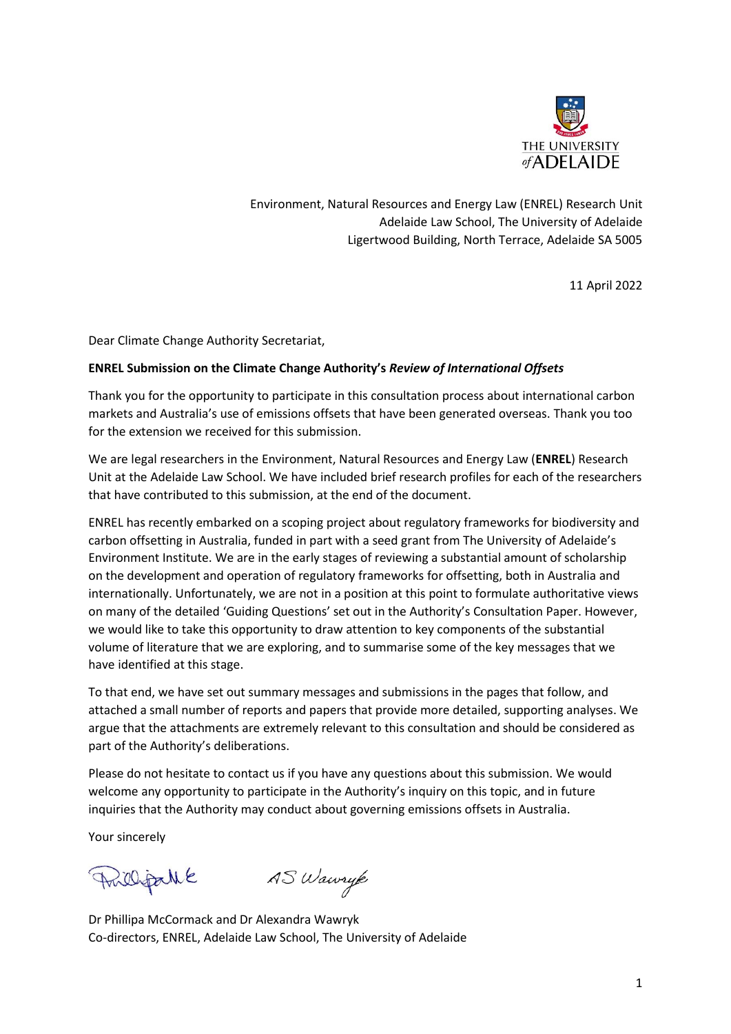

Environment, Natural Resources and Energy Law (ENREL) Research Unit Adelaide Law School, The University of Adelaide Ligertwood Building, North Terrace, Adelaide SA 5005

11 April 2022

Dear Climate Change Authority Secretariat,

#### **ENREL Submission on the Climate Change Authority's** *Review of International Offsets*

Thank you for the opportunity to participate in this consultation process about international carbon markets and Australia's use of emissions offsets that have been generated overseas. Thank you too for the extension we received for this submission.

We are legal researchers in the Environment, Natural Resources and Energy Law (**ENREL**) Research Unit at the Adelaide Law School. We have included brief research profiles for each of the researchers that have contributed to this submission, at the end of the document.

ENREL has recently embarked on a scoping project about regulatory frameworks for biodiversity and carbon offsetting in Australia, funded in part with a seed grant from The University of Adelaide's Environment Institute. We are in the early stages of reviewing a substantial amount of scholarship on the development and operation of regulatory frameworks for offsetting, both in Australia and internationally. Unfortunately, we are not in a position at this point to formulate authoritative views on many of the detailed 'Guiding Questions' set out in the Authority's Consultation Paper. However, we would like to take this opportunity to draw attention to key components of the substantial volume of literature that we are exploring, and to summarise some of the key messages that we have identified at this stage.

To that end, we have set out summary messages and submissions in the pages that follow, and attached a small number of reports and papers that provide more detailed, supporting analyses. We argue that the attachments are extremely relevant to this consultation and should be considered as part of the Authority's deliberations.

Please do not hesitate to contact us if you have any questions about this submission. We would welcome any opportunity to participate in the Authority's inquiry on this topic, and in future inquiries that the Authority may conduct about governing emissions offsets in Australia.

Your sincerely

Prillipallé

AS Wawryk

Dr Phillipa McCormack and Dr Alexandra Wawryk Co-directors, ENREL, Adelaide Law School, The University of Adelaide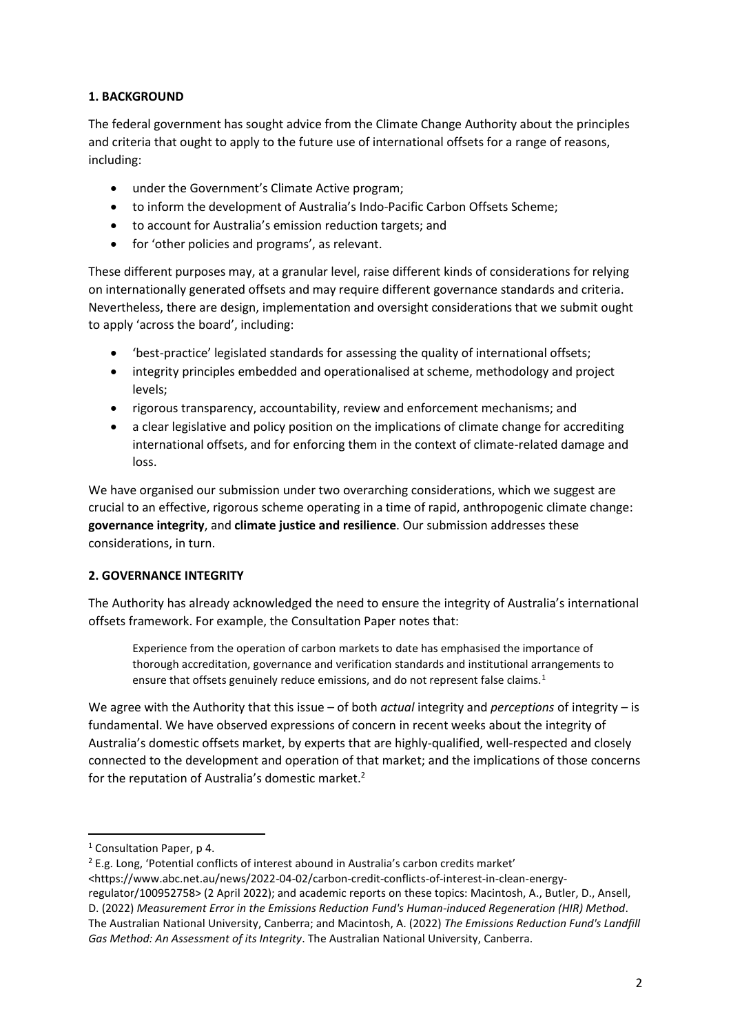## **1. BACKGROUND**

The federal government has sought advice from the Climate Change Authority about the principles and criteria that ought to apply to the future use of international offsets for a range of reasons, including:

- under the Government's Climate Active program;
- to inform the development of Australia's Indo-Pacific Carbon Offsets Scheme;
- to account for Australia's emission reduction targets; and
- for 'other policies and programs', as relevant.

These different purposes may, at a granular level, raise different kinds of considerations for relying on internationally generated offsets and may require different governance standards and criteria. Nevertheless, there are design, implementation and oversight considerations that we submit ought to apply 'across the board', including:

- 'best-practice' legislated standards for assessing the quality of international offsets;
- integrity principles embedded and operationalised at scheme, methodology and project levels;
- rigorous transparency, accountability, review and enforcement mechanisms; and
- a clear legislative and policy position on the implications of climate change for accrediting international offsets, and for enforcing them in the context of climate-related damage and loss.

We have organised our submission under two overarching considerations, which we suggest are crucial to an effective, rigorous scheme operating in a time of rapid, anthropogenic climate change: **governance integrity**, and **climate justice and resilience**. Our submission addresses these considerations, in turn.

# **2. GOVERNANCE INTEGRITY**

The Authority has already acknowledged the need to ensure the integrity of Australia's international offsets framework. For example, the Consultation Paper notes that:

<span id="page-1-0"></span>Experience from the operation of carbon markets to date has emphasised the importance of thorough accreditation, governance and verification standards and institutional arrangements to ensure that offsets genuinely reduce emissions, and do not represent false claims.<sup>1</sup>

We agree with the Authority that this issue – of both *actual* integrity and *perceptions* of integrity – is fundamental. We have observed expressions of concern in recent weeks about the integrity of Australia's domestic offsets market, by experts that are highly-qualified, well-respected and closely connected to the development and operation of that market; and the implications of those concerns for the reputation of Australia's domestic market.<sup>2</sup>

<sup>1</sup> Consultation Paper, p 4.

<sup>&</sup>lt;sup>2</sup> E.g. Long, 'Potential conflicts of interest abound in Australia's carbon credits market'

<sup>&</sup>lt;https://www.abc.net.au/news/2022-04-02/carbon-credit-conflicts-of-interest-in-clean-energy-

regulator/100952758> (2 April 2022); and academic reports on these topics: Macintosh, A., Butler, D., Ansell, D. (2022) *Measurement Error in the Emissions Reduction Fund's Human-induced Regeneration (HIR) Method*. The Australian National University, Canberra; and Macintosh, A. (2022) *The Emissions Reduction Fund's Landfill Gas Method: An Assessment of its Integrity*. The Australian National University, Canberra.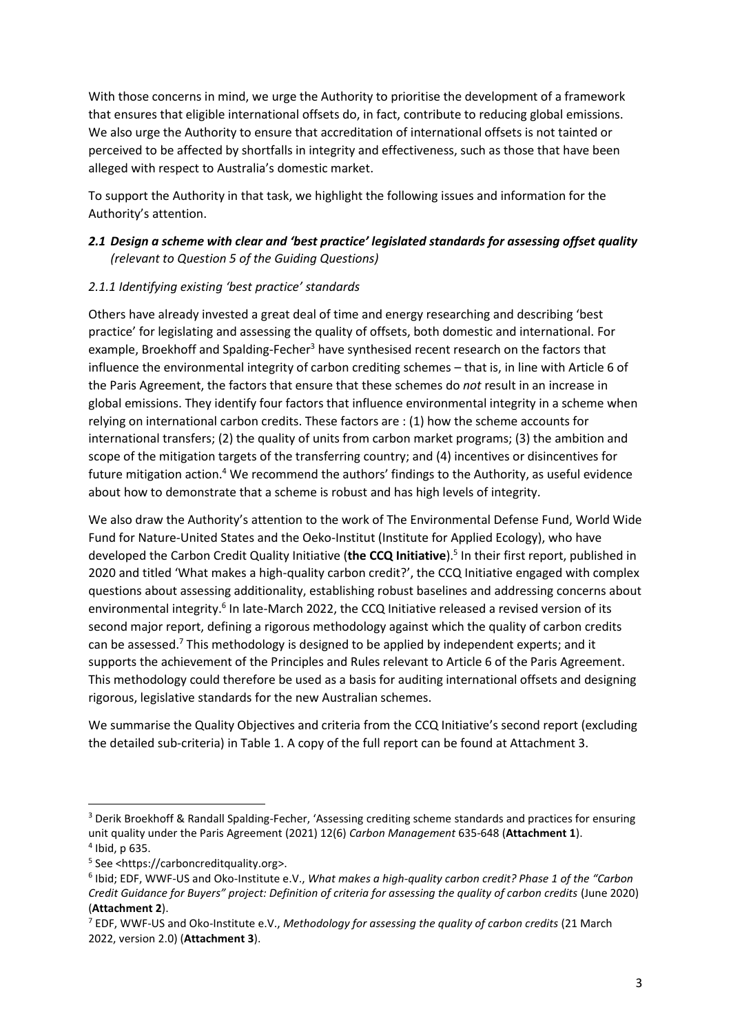With those concerns in mind, we urge the Authority to prioritise the development of a framework that ensures that eligible international offsets do, in fact, contribute to reducing global emissions. We also urge the Authority to ensure that accreditation of international offsets is not tainted or perceived to be affected by shortfalls in integrity and effectiveness, such as those that have been alleged with respect to Australia's domestic market.

To support the Authority in that task, we highlight the following issues and information for the Authority's attention.

# *2.1 Design a scheme with clear and 'best practice' legislated standards for assessing offset quality (relevant to Question 5 of the Guiding Questions)*

### *2.1.1 Identifying existing 'best practice' standards*

<span id="page-2-2"></span>Others have already invested a great deal of time and energy researching and describing 'best practice' for legislating and assessing the quality of offsets, both domestic and international. For example, Broekhoff and Spalding-Fecher<sup>3</sup> have synthesised recent research on the factors that influence the environmental integrity of carbon crediting schemes – that is, in line with Article 6 of the Paris Agreement, the factors that ensure that these schemes do *not* result in an increase in global emissions. They identify four factors that influence environmental integrity in a scheme when relying on international carbon credits. These factors are : (1) how the scheme accounts for international transfers; (2) the quality of units from carbon market programs; (3) the ambition and scope of the mitigation targets of the transferring country; and (4) incentives or disincentives for future mitigation action.<sup>4</sup> We recommend the authors' findings to the Authority, as useful evidence about how to demonstrate that a scheme is robust and has high levels of integrity.

<span id="page-2-0"></span>We also draw the Authority's attention to the work of The Environmental Defense Fund, World Wide Fund for Nature-United States and the Oeko-Institut (Institute for Applied Ecology), who have developed the Carbon Credit Quality Initiative (**the CCQ Initiative**).<sup>5</sup> In their first report, published in 2020 and titled 'What makes a high-quality carbon credit?', the CCQ Initiative engaged with complex questions about assessing additionality, establishing robust baselines and addressing concerns about environmental integrity.<sup>6</sup> In late-March 2022, the CCQ Initiative released a revised version of its second major report, defining a rigorous methodology against which the quality of carbon credits can be assessed.<sup>7</sup> This methodology is designed to be applied by independent experts; and it supports the achievement of the Principles and Rules relevant to Article 6 of the Paris Agreement. This methodology could therefore be used as a basis for auditing international offsets and designing rigorous, legislative standards for the new Australian schemes.

<span id="page-2-1"></span>We summarise the Quality Objectives and criteria from the CCQ Initiative's second report (excluding the detailed sub-criteria) in Table 1. A copy of the full report can be found at Attachment 3.

1

<sup>3</sup> Derik Broekhoff & Randall Spalding-Fecher, 'Assessing crediting scheme standards and practices for ensuring unit quality under the Paris Agreement (2021) 12(6) *Carbon Management* 635-648 (**Attachment 1**). 4 Ibid, p 635.

<sup>5</sup> See <https://carboncreditquality.org>.

<sup>6</sup> Ibid; EDF, WWF-US and Oko-Institute e.V., *What makes a high-quality carbon credit? Phase 1 of the "Carbon Credit Guidance for Buyers" project: Definition of criteria for assessing the quality of carbon credits* (June 2020) (**Attachment 2**).

<sup>7</sup> EDF, WWF-US and Oko-Institute e.V., *Methodology for assessing the quality of carbon credits* (21 March 2022, version 2.0) (**Attachment 3**).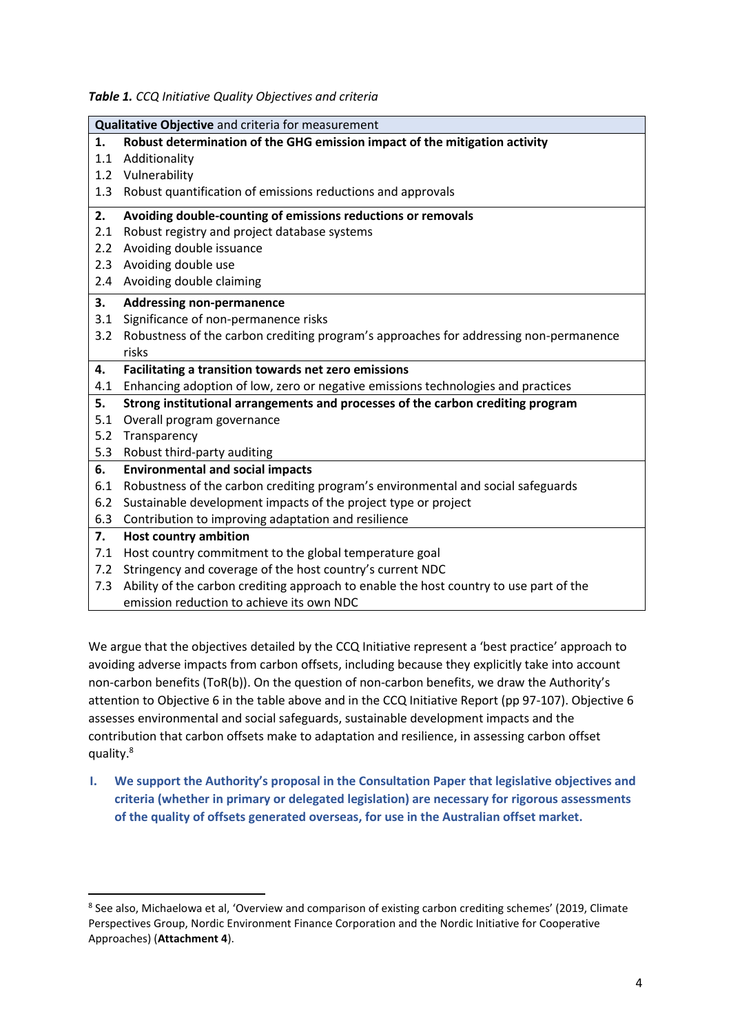*Table 1. CCQ Initiative Quality Objectives and criteria*

| Qualitative Objective and criteria for measurement |                                                                                        |  |  |  |
|----------------------------------------------------|----------------------------------------------------------------------------------------|--|--|--|
| 1.                                                 | Robust determination of the GHG emission impact of the mitigation activity             |  |  |  |
| 1.1                                                | Additionality                                                                          |  |  |  |
| 1.2                                                | Vulnerability                                                                          |  |  |  |
| 1.3                                                | Robust quantification of emissions reductions and approvals                            |  |  |  |
| 2.                                                 | Avoiding double-counting of emissions reductions or removals                           |  |  |  |
| 2.1                                                | Robust registry and project database systems                                           |  |  |  |
| 2.2                                                | Avoiding double issuance                                                               |  |  |  |
| 2.3                                                | Avoiding double use                                                                    |  |  |  |
| 2.4                                                | Avoiding double claiming                                                               |  |  |  |
| 3.                                                 | <b>Addressing non-permanence</b>                                                       |  |  |  |
| 3.1                                                | Significance of non-permanence risks                                                   |  |  |  |
| 3.2                                                | Robustness of the carbon crediting program's approaches for addressing non-permanence  |  |  |  |
|                                                    | risks                                                                                  |  |  |  |
| 4.                                                 | Facilitating a transition towards net zero emissions                                   |  |  |  |
|                                                    |                                                                                        |  |  |  |
| 4.1                                                | Enhancing adoption of low, zero or negative emissions technologies and practices       |  |  |  |
| 5.                                                 | Strong institutional arrangements and processes of the carbon crediting program        |  |  |  |
| 5.1                                                | Overall program governance                                                             |  |  |  |
| 5.2                                                | Transparency                                                                           |  |  |  |
| 5.3                                                | Robust third-party auditing                                                            |  |  |  |
| 6.                                                 | <b>Environmental and social impacts</b>                                                |  |  |  |
| 6.1                                                | Robustness of the carbon crediting program's environmental and social safeguards       |  |  |  |
| 6.2                                                | Sustainable development impacts of the project type or project                         |  |  |  |
| 6.3                                                | Contribution to improving adaptation and resilience                                    |  |  |  |
| 7.                                                 | <b>Host country ambition</b>                                                           |  |  |  |
| 7.1                                                | Host country commitment to the global temperature goal                                 |  |  |  |
| 7.2                                                | Stringency and coverage of the host country's current NDC                              |  |  |  |
| 7.3                                                | Ability of the carbon crediting approach to enable the host country to use part of the |  |  |  |

We argue that the objectives detailed by the CCQ Initiative represent a 'best practice' approach to avoiding adverse impacts from carbon offsets, including because they explicitly take into account non-carbon benefits (ToR(b)). On the question of non-carbon benefits, we draw the Authority's attention to Objective 6 in the table above and in the CCQ Initiative Report (pp 97-107). Objective 6 assesses environmental and social safeguards, sustainable development impacts and the contribution that carbon offsets make to adaptation and resilience, in assessing carbon offset quality. 8

<span id="page-3-0"></span>**I. We support the Authority's proposal in the Consultation Paper that legislative objectives and criteria (whether in primary or delegated legislation) are necessary for rigorous assessments of the quality of offsets generated overseas, for use in the Australian offset market.**

<sup>&</sup>lt;sup>8</sup> See also, Michaelowa et al, 'Overview and comparison of existing carbon crediting schemes' (2019, Climate Perspectives Group, Nordic Environment Finance Corporation and the Nordic Initiative for Cooperative Approaches) (**Attachment 4**).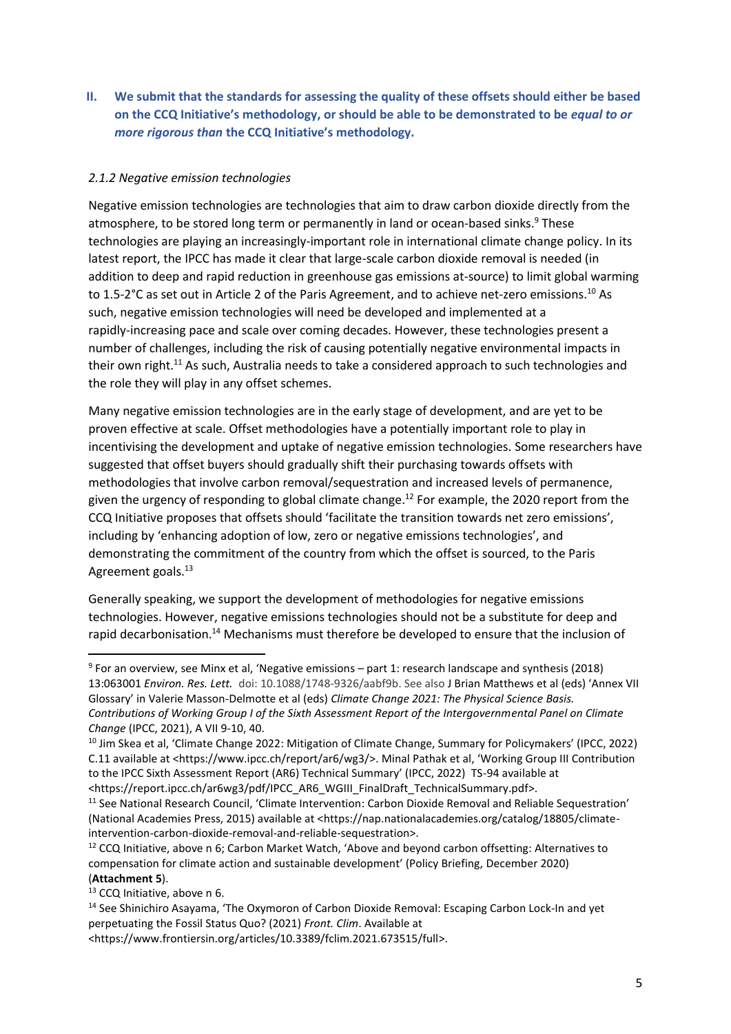**II. We submit that the standards for assessing the quality of these offsets should either be based on the CCQ Initiative's methodology, or should be able to be demonstrated to be** *equal to or more rigorous than* **the CCQ Initiative's methodology.** 

### *2.1.2 Negative emission technologies*

Negative emission technologies are technologies that aim to draw carbon dioxide directly from the atmosphere, to be stored long term or permanently in land or ocean-based sinks.<sup>9</sup> These technologies are playing an increasingly-important role in international climate change policy. In its latest report, the IPCC has made it clear that large-scale carbon dioxide removal is needed (in addition to deep and rapid reduction in greenhouse gas emissions at-source) to limit global warming to 1.5-2°C as set out in Article 2 of the Paris Agreement, and to achieve net-zero emissions.<sup>10</sup> As such, negative emission technologies will need be developed and implemented at a rapidly-increasing pace and scale over coming decades. However, these technologies present a number of challenges, including the risk of causing potentially negative environmental impacts in their own right.<sup>11</sup> As such, Australia needs to take a considered approach to such technologies and the role they will play in any offset schemes.

<span id="page-4-0"></span>Many negative emission technologies are in the early stage of development, and are yet to be proven effective at scale. Offset methodologies have a potentially important role to play in incentivising the development and uptake of negative emission technologies. Some researchers have suggested that offset buyers should gradually shift their purchasing towards offsets with methodologies that involve carbon removal/sequestration and increased levels of permanence, given the urgency of responding to global climate change.<sup>12</sup> For example, the 2020 report from the CCQ Initiative proposes that offsets should 'facilitate the transition towards net zero emissions', including by 'enhancing adoption of low, zero or negative emissions technologies', and demonstrating the commitment of the country from which the offset is sourced, to the Paris Agreement goals.<sup>13</sup>

Generally speaking, we support the development of methodologies for negative emissions technologies. However, negative emissions technologies should not be a substitute for deep and rapid decarbonisation.<sup>14</sup> Mechanisms must therefore be developed to ensure that the inclusion of

<sup>9</sup> For an overview, see Minx et al, 'Negative emissions – part 1: research landscape and synthesis (2018) 13:063001 *Environ. Res. Lett.* doi: 10.1088/1748-9326/aabf9b. See also J Brian Matthews et al (eds) 'Annex VII Glossary' in Valerie Masson-Delmotte et al (eds) *Climate Change 2021: The Physical Science Basis. Contributions of Working Group I of the Sixth Assessment Report of the Intergovernmental Panel on Climate Change* (IPCC, 2021), A VII 9-10, 40.

<sup>&</sup>lt;sup>10</sup> Jim Skea et al, 'Climate Change 2022: Mitigation of Climate Change, Summary for Policymakers' (IPCC, 2022) C.11 available at <https://www.ipcc.ch/report/ar6/wg3/>. Minal Pathak et al, 'Working Group III Contribution to the IPCC Sixth Assessment Report (AR6) Technical Summary' (IPCC, 2022) TS-94 available at <https://report.ipcc.ch/ar6wg3/pdf/IPCC\_AR6\_WGIII\_FinalDraft\_TechnicalSummary.pdf>.

<sup>11</sup> See National Research Council, 'Climate Intervention: Carbon Dioxide Removal and Reliable Sequestration' (National Academies Press, 2015) available at <https://nap.nationalacademies.org/catalog/18805/climateintervention-carbon-dioxide-removal-and-reliable-sequestration>.

 $12$  CCQ Initiative, above n [6;](#page-2-0) Carbon Market Watch, 'Above and beyond carbon offsetting: Alternatives to compensation for climate action and sustainable development' (Policy Briefing, December 2020) (**Attachment 5**).

<sup>&</sup>lt;sup>13</sup> CCQ Initiative, above n [6.](#page-2-0)

<sup>14</sup> See Shinichiro Asayama, 'The Oxymoron of Carbon Dioxide Removal: Escaping Carbon Lock-In and yet perpetuating the Fossil Status Quo? (2021) *Front. Clim*. Available at

<sup>&</sup>lt;https://www.frontiersin.org/articles/10.3389/fclim.2021.673515/full>.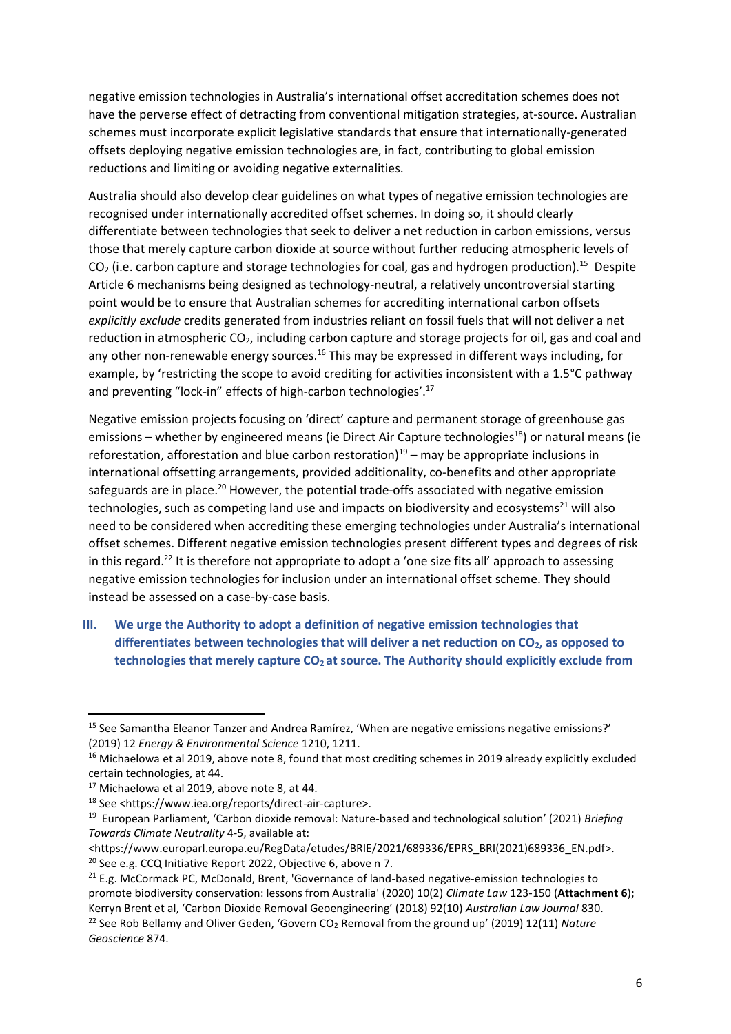negative emission technologies in Australia's international offset accreditation schemes does not have the perverse effect of detracting from conventional mitigation strategies, at-source. Australian schemes must incorporate explicit legislative standards that ensure that internationally-generated offsets deploying negative emission technologies are, in fact, contributing to global emission reductions and limiting or avoiding negative externalities.

Australia should also develop clear guidelines on what types of negative emission technologies are recognised under internationally accredited offset schemes. In doing so, it should clearly differentiate between technologies that seek to deliver a net reduction in carbon emissions, versus those that merely capture carbon dioxide at source without further reducing atmospheric levels of  $CO<sub>2</sub>$  (i.e. carbon capture and storage technologies for coal, gas and hydrogen production).<sup>15</sup> Despite Article 6 mechanisms being designed as technology-neutral, a relatively uncontroversial starting point would be to ensure that Australian schemes for accrediting international carbon offsets *explicitly exclude* credits generated from industries reliant on fossil fuels that will not deliver a net reduction in atmospheric  $CO<sub>2</sub>$ , including carbon capture and storage projects for oil, gas and coal and any other non-renewable energy sources.<sup>16</sup> This may be expressed in different ways including, for example, by 'restricting the scope to avoid crediting for activities inconsistent with a 1.5°C pathway and preventing "lock-in" effects of high-carbon technologies'.<sup>17</sup>

Negative emission projects focusing on 'direct' capture and permanent storage of greenhouse gas emissions – whether by engineered means (ie Direct Air Capture technologies<sup>18</sup>) or natural means (ie reforestation, afforestation and blue carbon restoration)<sup>19</sup> - may be appropriate inclusions in international offsetting arrangements, provided additionality, co-benefits and other appropriate safeguards are in place.<sup>20</sup> However, the potential trade-offs associated with negative emission technologies, such as competing land use and impacts on biodiversity and ecosystems<sup>21</sup> will also need to be considered when accrediting these emerging technologies under Australia's international offset schemes. Different negative emission technologies present different types and degrees of risk in this regard.<sup>22</sup> It is therefore not appropriate to adopt a 'one size fits all' approach to assessing negative emission technologies for inclusion under an international offset scheme. They should instead be assessed on a case-by-case basis.

**III. We urge the Authority to adopt a definition of negative emission technologies that differentiates between technologies that will deliver a net reduction on CO2, as opposed to technologies that merely capture CO2 at source. The Authority should explicitly exclude from** 

1

<sup>15</sup> See Samantha Eleanor Tanzer and Andrea Ramírez, 'When are negative emissions negative emissions?' (2019) 12 *Energy & Environmental Science* 1210, 1211.

<sup>&</sup>lt;sup>16</sup> Michaelowa et al 2019, above note [8,](#page-3-0) found that most crediting schemes in 2019 already explicitly excluded certain technologies, at 44.

 $17$  Michaelowa et al 2019, above note [8,](#page-3-0) at 44.

<sup>18</sup> See <https://www.iea.org/reports/direct-air-capture>.

<sup>19</sup> European Parliament, 'Carbon dioxide removal: Nature-based and technological solution' (2021) *Briefing Towards Climate Neutrality* 4-5, available at:

<sup>&</sup>lt;https://www.europarl.europa.eu/RegData/etudes/BRIE/2021/689336/EPRS\_BRI(2021)689336\_EN.pdf>. <sup>20</sup> See e.g. CCQ Initiative Report 2022, Objective 6, above [n 7.](#page-2-1)

<sup>&</sup>lt;sup>21</sup> E.g. McCormack PC, McDonald, Brent, 'Governance of land-based negative-emission technologies to promote biodiversity conservation: lessons from Australia' (2020) 10(2) *Climate Law* 123-150 (**Attachment 6**); Kerryn Brent et al, 'Carbon Dioxide Removal Geoengineering' (2018) 92(10) *Australian Law Journal* 830. <sup>22</sup> See Rob Bellamy and Oliver Geden, 'Govern CO<sub>2</sub> Removal from the ground up' (2019) 12(11) *Nature Geoscience* 874.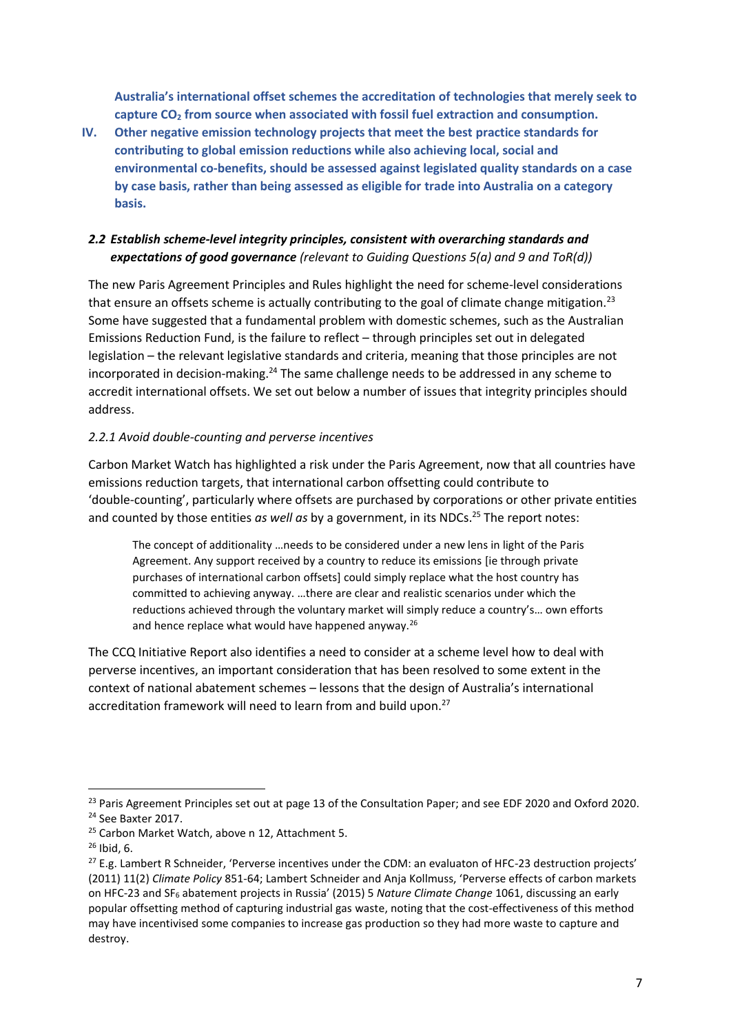**Australia's international offset schemes the accreditation of technologies that merely seek to capture CO<sup>2</sup> from source when associated with fossil fuel extraction and consumption.**

**IV. Other negative emission technology projects that meet the best practice standards for contributing to global emission reductions while also achieving local, social and environmental co-benefits, should be assessed against legislated quality standards on a case by case basis, rather than being assessed as eligible for trade into Australia on a category basis.**

## *2.2 Establish scheme-level integrity principles, consistent with overarching standards and expectations of good governance (relevant to Guiding Questions 5(a) and 9 and ToR(d))*

The new Paris Agreement Principles and Rules highlight the need for scheme-level considerations that ensure an offsets scheme is actually contributing to the goal of climate change mitigation.<sup>23</sup> Some have suggested that a fundamental problem with domestic schemes, such as the Australian Emissions Reduction Fund, is the failure to reflect – through principles set out in delegated legislation – the relevant legislative standards and criteria, meaning that those principles are not incorporated in decision-making.<sup>24</sup> The same challenge needs to be addressed in any scheme to accredit international offsets. We set out below a number of issues that integrity principles should address.

## *2.2.1 Avoid double-counting and perverse incentives*

Carbon Market Watch has highlighted a risk under the Paris Agreement, now that all countries have emissions reduction targets, that international carbon offsetting could contribute to 'double-counting', particularly where offsets are purchased by corporations or other private entities and counted by those entities *as well as* by a government, in its NDCs. <sup>25</sup> The report notes:

The concept of additionality …needs to be considered under a new lens in light of the Paris Agreement. Any support received by a country to reduce its emissions [ie through private purchases of international carbon offsets] could simply replace what the host country has committed to achieving anyway. …there are clear and realistic scenarios under which the reductions achieved through the voluntary market will simply reduce a country's… own efforts and hence replace what would have happened anyway.<sup>26</sup>

The CCQ Initiative Report also identifies a need to consider at a scheme level how to deal with perverse incentives, an important consideration that has been resolved to some extent in the context of national abatement schemes – lessons that the design of Australia's international accreditation framework will need to learn from and build upon.<sup>27</sup>

<sup>&</sup>lt;sup>23</sup> Paris Agreement Principles set out at page 13 of the Consultation Paper; and see EDF 2020 and Oxford 2020. <sup>24</sup> See Baxter 2017.

<sup>&</sup>lt;sup>25</sup> Carbon Market Watch, above n [12,](#page-4-0) Attachment 5.

 $26$  Ibid, 6.

<sup>&</sup>lt;sup>27</sup> E.g. Lambert R Schneider, 'Perverse incentives under the CDM: an evaluaton of HFC-23 destruction projects' (2011) 11(2) *Climate Policy* 851-64; Lambert Schneider and Anja Kollmuss, 'Perverse effects of carbon markets on HFC-23 and SF<sup>6</sup> abatement projects in Russia' (2015) 5 *Nature Climate Change* 1061, discussing an early popular offsetting method of capturing industrial gas waste, noting that the cost-effectiveness of this method may have incentivised some companies to increase gas production so they had more waste to capture and destroy.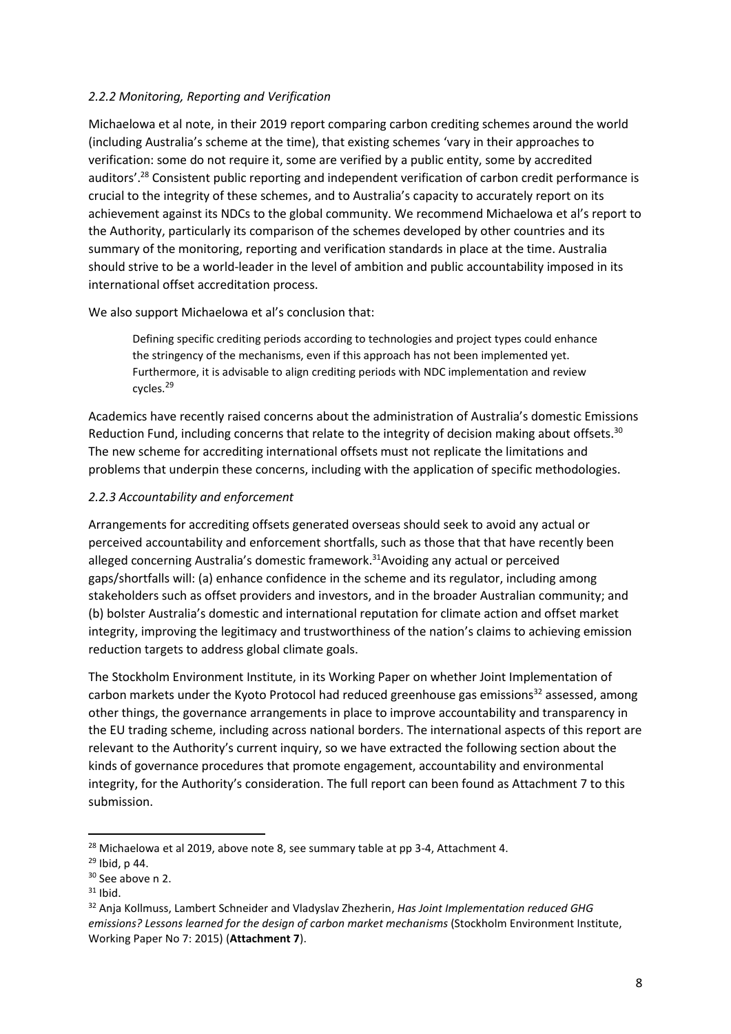### *2.2.2 Monitoring, Reporting and Verification*

Michaelowa et al note, in their 2019 report comparing carbon crediting schemes around the world (including Australia's scheme at the time), that existing schemes 'vary in their approaches to verification: some do not require it, some are verified by a public entity, some by accredited auditors'.<sup>28</sup> Consistent public reporting and independent verification of carbon credit performance is crucial to the integrity of these schemes, and to Australia's capacity to accurately report on its achievement against its NDCs to the global community. We recommend Michaelowa et al's report to the Authority, particularly its comparison of the schemes developed by other countries and its summary of the monitoring, reporting and verification standards in place at the time. Australia should strive to be a world-leader in the level of ambition and public accountability imposed in its international offset accreditation process.

We also support Michaelowa et al's conclusion that:

Defining specific crediting periods according to technologies and project types could enhance the stringency of the mechanisms, even if this approach has not been implemented yet. Furthermore, it is advisable to align crediting periods with NDC implementation and review cycles.<sup>29</sup>

Academics have recently raised concerns about the administration of Australia's domestic Emissions Reduction Fund, including concerns that relate to the integrity of decision making about offsets.<sup>30</sup> The new scheme for accrediting international offsets must not replicate the limitations and problems that underpin these concerns, including with the application of specific methodologies.

### *2.2.3 Accountability and enforcement*

Arrangements for accrediting offsets generated overseas should seek to avoid any actual or perceived accountability and enforcement shortfalls, such as those that that have recently been alleged concerning Australia's domestic framework.<sup>31</sup>Avoiding any actual or perceived gaps/shortfalls will: (a) enhance confidence in the scheme and its regulator, including among stakeholders such as offset providers and investors, and in the broader Australian community; and (b) bolster Australia's domestic and international reputation for climate action and offset market integrity, improving the legitimacy and trustworthiness of the nation's claims to achieving emission reduction targets to address global climate goals.

The Stockholm Environment Institute, in its Working Paper on whether Joint Implementation of carbon markets under the Kyoto Protocol had reduced greenhouse gas emissions<sup>32</sup> assessed, among other things, the governance arrangements in place to improve accountability and transparency in the EU trading scheme, including across national borders. The international aspects of this report are relevant to the Authority's current inquiry, so we have extracted the following section about the kinds of governance procedures that promote engagement, accountability and environmental integrity, for the Authority's consideration. The full report can been found as Attachment 7 to this submission.

 $28$  Michaelowa et al 2019, above note [8,](#page-3-0) see summary table at pp 3-4, Attachment 4.

<sup>29</sup> Ibid, p 44.

<sup>&</sup>lt;sup>30</sup> See above n [2.](#page-1-0)

 $31$  Ibid.

<sup>32</sup> Anja Kollmuss, Lambert Schneider and Vladyslav Zhezherin, *Has Joint Implementation reduced GHG emissions? Lessons learned for the design of carbon market mechanisms* (Stockholm Environment Institute, Working Paper No 7: 2015) (**Attachment 7**).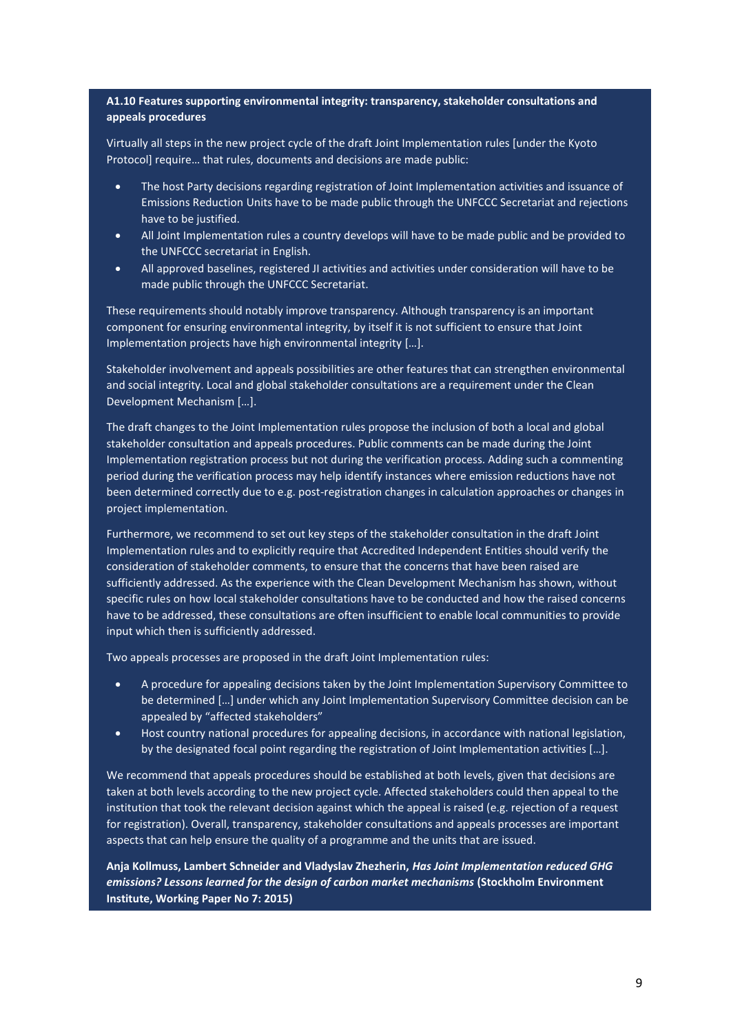#### **A1.10 Features supporting environmental integrity: transparency, stakeholder consultations and appeals procedures**

Virtually all steps in the new project cycle of the draft Joint Implementation rules [under the Kyoto Protocol] require… that rules, documents and decisions are made public:

- The host Party decisions regarding registration of Joint Implementation activities and issuance of Emissions Reduction Units have to be made public through the UNFCCC Secretariat and rejections have to be justified.
- All Joint Implementation rules a country develops will have to be made public and be provided to the UNFCCC secretariat in English.
- All approved baselines, registered JI activities and activities under consideration will have to be made public through the UNFCCC Secretariat.

These requirements should notably improve transparency. Although transparency is an important component for ensuring environmental integrity, by itself it is not sufficient to ensure that Joint Implementation projects have high environmental integrity […].

Stakeholder involvement and appeals possibilities are other features that can strengthen environmental and social integrity. Local and global stakeholder consultations are a requirement under the Clean Development Mechanism […].

The draft changes to the Joint Implementation rules propose the inclusion of both a local and global stakeholder consultation and appeals procedures. Public comments can be made during the Joint Implementation registration process but not during the verification process. Adding such a commenting period during the verification process may help identify instances where emission reductions have not been determined correctly due to e.g. post-registration changes in calculation approaches or changes in project implementation.

Furthermore, we recommend to set out key steps of the stakeholder consultation in the draft Joint Implementation rules and to explicitly require that Accredited Independent Entities should verify the consideration of stakeholder comments, to ensure that the concerns that have been raised are sufficiently addressed. As the experience with the Clean Development Mechanism has shown, without specific rules on how local stakeholder consultations have to be conducted and how the raised concerns have to be addressed, these consultations are often insufficient to enable local communities to provide input which then is sufficiently addressed.

Two appeals processes are proposed in the draft Joint Implementation rules:

- A procedure for appealing decisions taken by the Joint Implementation Supervisory Committee to be determined […] under which any Joint Implementation Supervisory Committee decision can be appealed by "affected stakeholders"
- Host country national procedures for appealing decisions, in accordance with national legislation, by the designated focal point regarding the registration of Joint Implementation activities […].

We recommend that appeals procedures should be established at both levels, given that decisions are taken at both levels according to the new project cycle. Affected stakeholders could then appeal to the institution that took the relevant decision against which the appeal is raised (e.g. rejection of a request for registration). Overall, transparency, stakeholder consultations and appeals processes are important aspects that can help ensure the quality of a programme and the units that are issued.

**Anja Kollmuss, Lambert Schneider and Vladyslav Zhezherin,** *Has Joint Implementation reduced GHG emissions? Lessons learned for the design of carbon market mechanisms* **(Stockholm Environment Institute, Working Paper No 7: 2015)**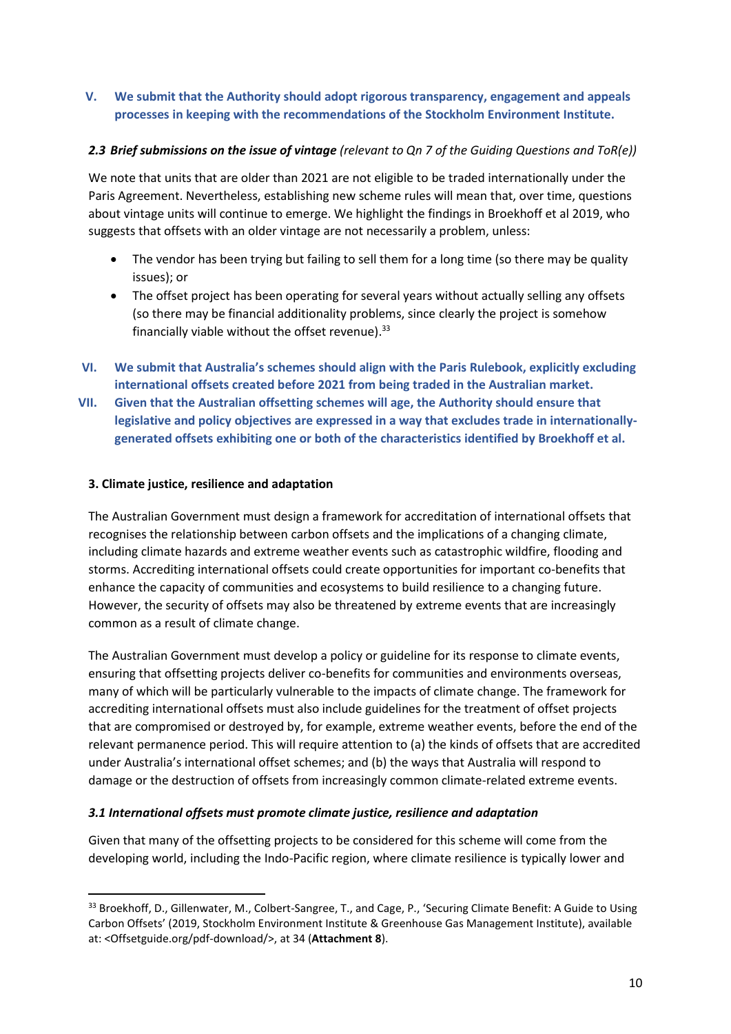### **V. We submit that the Authority should adopt rigorous transparency, engagement and appeals processes in keeping with the recommendations of the Stockholm Environment Institute.**

### *2.3 Brief submissions on the issue of vintage (relevant to Qn 7 of the Guiding Questions and ToR(e))*

We note that units that are older than 2021 are not eligible to be traded internationally under the Paris Agreement. Nevertheless, establishing new scheme rules will mean that, over time, questions about vintage units will continue to emerge. We highlight the findings in Broekhoff et al 2019, who suggests that offsets with an older vintage are not necessarily a problem, unless:

- The vendor has been trying but failing to sell them for a long time (so there may be quality issues); or
- The offset project has been operating for several years without actually selling any offsets (so there may be financial additionality problems, since clearly the project is somehow financially viable without the offset revenue).<sup>33</sup>
- **VI. We submit that Australia's schemes should align with the Paris Rulebook, explicitly excluding international offsets created before 2021 from being traded in the Australian market.**
- **VII. Given that the Australian offsetting schemes will age, the Authority should ensure that legislative and policy objectives are expressed in a way that excludes trade in internationallygenerated offsets exhibiting one or both of the characteristics identified by Broekhoff et al.**

#### **3. Climate justice, resilience and adaptation**

**.** 

The Australian Government must design a framework for accreditation of international offsets that recognises the relationship between carbon offsets and the implications of a changing climate, including climate hazards and extreme weather events such as catastrophic wildfire, flooding and storms. Accrediting international offsets could create opportunities for important co-benefits that enhance the capacity of communities and ecosystems to build resilience to a changing future. However, the security of offsets may also be threatened by extreme events that are increasingly common as a result of climate change.

The Australian Government must develop a policy or guideline for its response to climate events, ensuring that offsetting projects deliver co-benefits for communities and environments overseas, many of which will be particularly vulnerable to the impacts of climate change. The framework for accrediting international offsets must also include guidelines for the treatment of offset projects that are compromised or destroyed by, for example, extreme weather events, before the end of the relevant permanence period. This will require attention to (a) the kinds of offsets that are accredited under Australia's international offset schemes; and (b) the ways that Australia will respond to damage or the destruction of offsets from increasingly common climate-related extreme events.

#### *3.1 International offsets must promote climate justice, resilience and adaptation*

Given that many of the offsetting projects to be considered for this scheme will come from the developing world, including the Indo-Pacific region, where climate resilience is typically lower and

<sup>33</sup> Broekhoff, D., Gillenwater, M., Colbert-Sangree, T., and Cage, P., 'Securing Climate Benefit: A Guide to Using Carbon Offsets' (2019, Stockholm Environment Institute & Greenhouse Gas Management Institute), available at: <Offsetguide.org/pdf-download/>, at 34 (**Attachment 8**).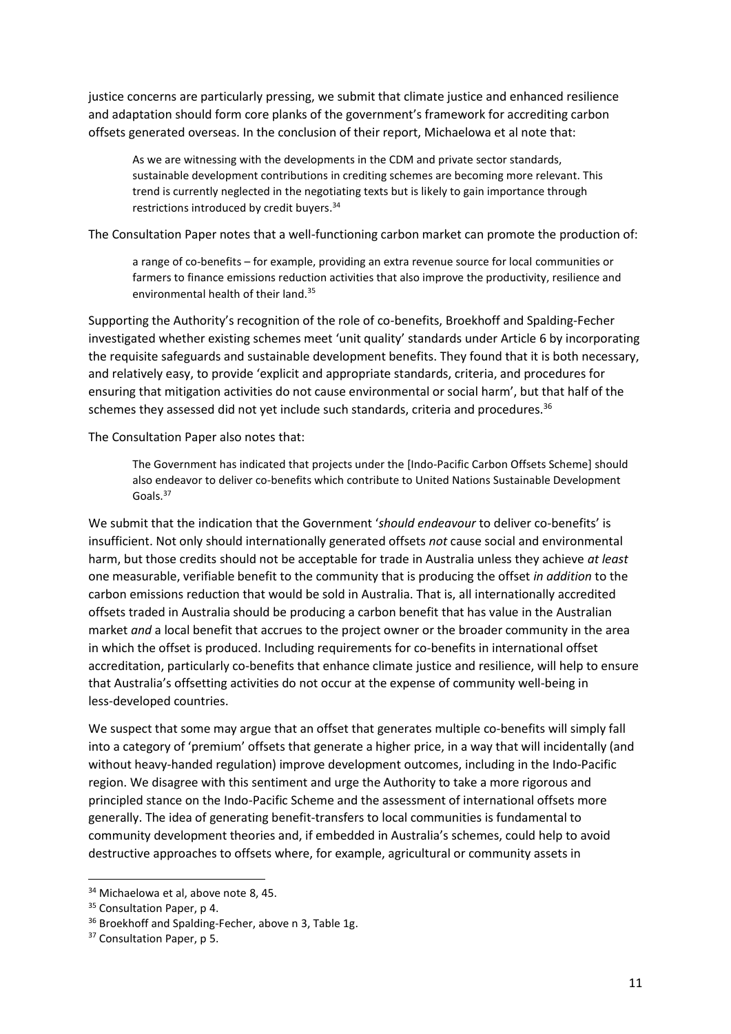justice concerns are particularly pressing, we submit that climate justice and enhanced resilience and adaptation should form core planks of the government's framework for accrediting carbon offsets generated overseas. In the conclusion of their report, Michaelowa et al note that:

As we are witnessing with the developments in the CDM and private sector standards, sustainable development contributions in crediting schemes are becoming more relevant. This trend is currently neglected in the negotiating texts but is likely to gain importance through restrictions introduced by credit buyers.<sup>34</sup>

The Consultation Paper notes that a well-functioning carbon market can promote the production of:

a range of co-benefits – for example, providing an extra revenue source for local communities or farmers to finance emissions reduction activities that also improve the productivity, resilience and environmental health of their land.<sup>35</sup>

Supporting the Authority's recognition of the role of co-benefits, Broekhoff and Spalding-Fecher investigated whether existing schemes meet 'unit quality' standards under Article 6 by incorporating the requisite safeguards and sustainable development benefits. They found that it is both necessary, and relatively easy, to provide 'explicit and appropriate standards, criteria, and procedures for ensuring that mitigation activities do not cause environmental or social harm', but that half of the schemes they assessed did not yet include such standards, criteria and procedures.<sup>36</sup>

The Consultation Paper also notes that:

The Government has indicated that projects under the [Indo-Pacific Carbon Offsets Scheme] should also endeavor to deliver co-benefits which contribute to United Nations Sustainable Development Goals. 37

We submit that the indication that the Government '*should endeavour* to deliver co-benefits' is insufficient. Not only should internationally generated offsets *not* cause social and environmental harm, but those credits should not be acceptable for trade in Australia unless they achieve *at least* one measurable, verifiable benefit to the community that is producing the offset *in addition* to the carbon emissions reduction that would be sold in Australia. That is, all internationally accredited offsets traded in Australia should be producing a carbon benefit that has value in the Australian market *and* a local benefit that accrues to the project owner or the broader community in the area in which the offset is produced. Including requirements for co-benefits in international offset accreditation, particularly co-benefits that enhance climate justice and resilience, will help to ensure that Australia's offsetting activities do not occur at the expense of community well-being in less-developed countries.

We suspect that some may argue that an offset that generates multiple co-benefits will simply fall into a category of 'premium' offsets that generate a higher price, in a way that will incidentally (and without heavy-handed regulation) improve development outcomes, including in the Indo-Pacific region. We disagree with this sentiment and urge the Authority to take a more rigorous and principled stance on the Indo-Pacific Scheme and the assessment of international offsets more generally. The idea of generating benefit-transfers to local communities is fundamental to community development theories and, if embedded in Australia's schemes, could help to avoid destructive approaches to offsets where, for example, agricultural or community assets in

1

<sup>&</sup>lt;sup>34</sup> Michaelowa et al, above note [8,](#page-3-0) 45.

<sup>&</sup>lt;sup>35</sup> Consultation Paper, p 4.

<sup>&</sup>lt;sup>36</sup> Broekhoff and Spalding-Fecher, above n [3,](#page-2-2) Table 1g.

<sup>&</sup>lt;sup>37</sup> Consultation Paper, p 5.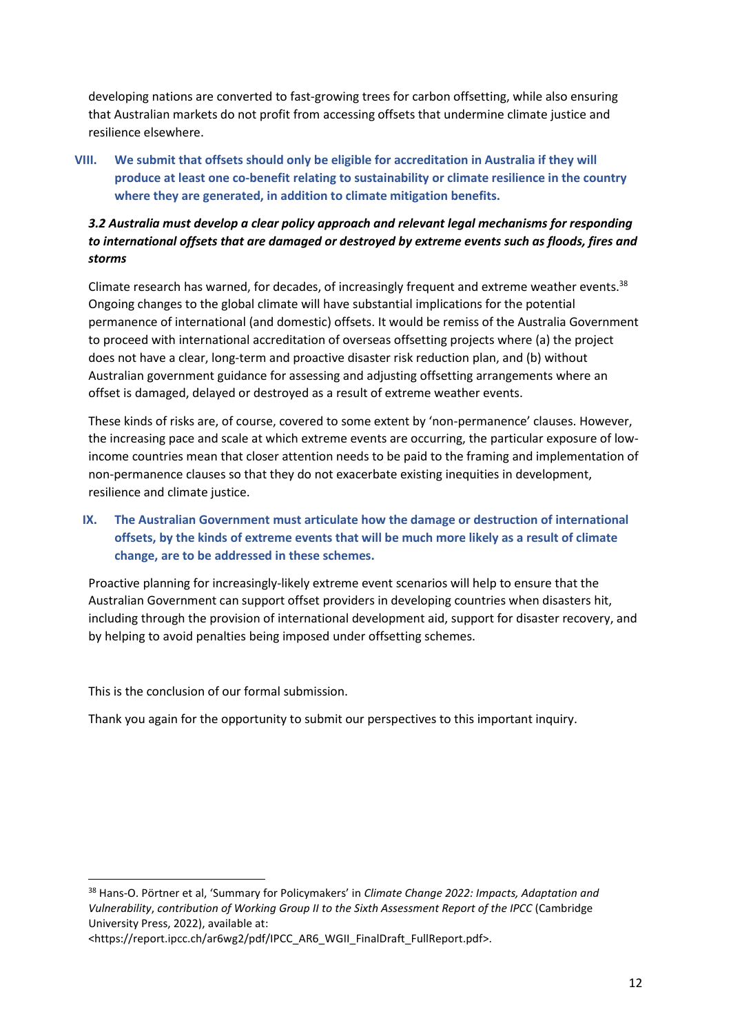developing nations are converted to fast-growing trees for carbon offsetting, while also ensuring that Australian markets do not profit from accessing offsets that undermine climate justice and resilience elsewhere.

**VIII. We submit that offsets should only be eligible for accreditation in Australia if they will produce at least one co-benefit relating to sustainability or climate resilience in the country where they are generated, in addition to climate mitigation benefits.** 

# *3.2 Australia must develop a clear policy approach and relevant legal mechanisms for responding to international offsets that are damaged or destroyed by extreme events such as floods, fires and storms*

Climate research has warned, for decades, of increasingly frequent and extreme weather events. $38$ Ongoing changes to the global climate will have substantial implications for the potential permanence of international (and domestic) offsets. It would be remiss of the Australia Government to proceed with international accreditation of overseas offsetting projects where (a) the project does not have a clear, long-term and proactive disaster risk reduction plan, and (b) without Australian government guidance for assessing and adjusting offsetting arrangements where an offset is damaged, delayed or destroyed as a result of extreme weather events.

These kinds of risks are, of course, covered to some extent by 'non-permanence' clauses. However, the increasing pace and scale at which extreme events are occurring, the particular exposure of lowincome countries mean that closer attention needs to be paid to the framing and implementation of non-permanence clauses so that they do not exacerbate existing inequities in development, resilience and climate justice.

# **IX. The Australian Government must articulate how the damage or destruction of international offsets, by the kinds of extreme events that will be much more likely as a result of climate change, are to be addressed in these schemes.**

Proactive planning for increasingly-likely extreme event scenarios will help to ensure that the Australian Government can support offset providers in developing countries when disasters hit, including through the provision of international development aid, support for disaster recovery, and by helping to avoid penalties being imposed under offsetting schemes.

This is the conclusion of our formal submission.

1

Thank you again for the opportunity to submit our perspectives to this important inquiry.

<sup>38</sup> Hans-O. Pörtner et al, 'Summary for Policymakers' in *Climate Change 2022: Impacts, Adaptation and Vulnerability*, *contribution of Working Group II to the Sixth Assessment Report of the IPCC* (Cambridge University Press, 2022), available at:

<sup>&</sup>lt;https://report.ipcc.ch/ar6wg2/pdf/IPCC\_AR6\_WGII\_FinalDraft\_FullReport.pdf>.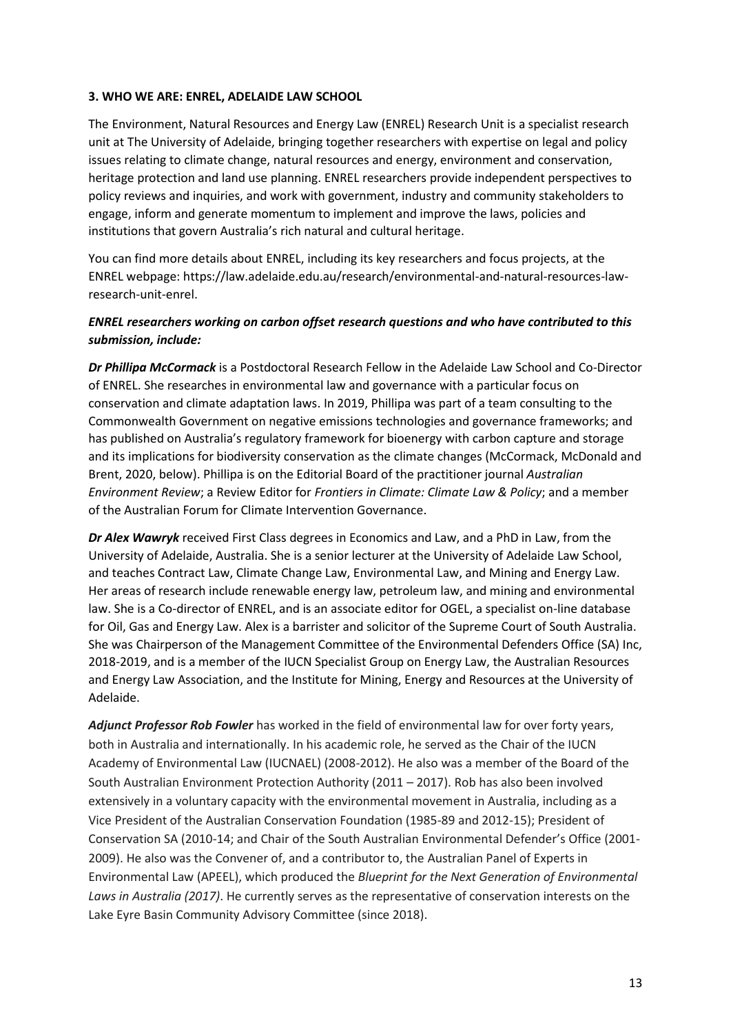#### **3. WHO WE ARE: ENREL, ADELAIDE LAW SCHOOL**

The Environment, Natural Resources and Energy Law (ENREL) Research Unit is a specialist research unit at The University of Adelaide, bringing together researchers with expertise on legal and policy issues relating to climate change, natural resources and energy, environment and conservation, heritage protection and land use planning. ENREL researchers provide independent perspectives to policy reviews and inquiries, and work with government, industry and community stakeholders to engage, inform and generate momentum to implement and improve the laws, policies and institutions that govern Australia's rich natural and cultural heritage.

You can find more details about ENREL, including its key researchers and focus projects, at the ENREL webpage: https://law.adelaide.edu.au/research/environmental-and-natural-resources-lawresearch-unit-enrel.

## *ENREL researchers working on carbon offset research questions and who have contributed to this submission, include:*

*Dr Phillipa McCormack* is a Postdoctoral Research Fellow in the Adelaide Law School and Co-Director of ENREL. She researches in environmental law and governance with a particular focus on conservation and climate adaptation laws. In 2019, Phillipa was part of a team consulting to the Commonwealth Government on negative emissions technologies and governance frameworks; and has published on Australia's regulatory framework for bioenergy with carbon capture and storage and its implications for biodiversity conservation as the climate changes (McCormack, McDonald and Brent, 2020, below). Phillipa is on the Editorial Board of the practitioner journal *Australian Environment Review*; a Review Editor for *Frontiers in Climate: Climate Law & Policy*; and a member of the Australian Forum for Climate Intervention Governance.

*Dr Alex Wawryk* received First Class degrees in Economics and Law, and a PhD in Law, from the University of Adelaide, Australia. She is a senior lecturer at the University of Adelaide Law School, and teaches Contract Law, Climate Change Law, Environmental Law, and Mining and Energy Law. Her areas of research include renewable energy law, petroleum law, and mining and environmental law. She is a Co-director of ENREL, and is an associate editor for OGEL, a specialist on-line database for Oil, Gas and Energy Law. Alex is a barrister and solicitor of the Supreme Court of South Australia. She was Chairperson of the Management Committee of the Environmental Defenders Office (SA) Inc, 2018-2019, and is a member of the IUCN Specialist Group on Energy Law, the Australian Resources and Energy Law Association, and the Institute for Mining, Energy and Resources at the University of Adelaide.

*Adjunct Professor Rob Fowler* has worked in the field of environmental law for over forty years, both in Australia and internationally. In his academic role, he served as the Chair of the IUCN Academy of Environmental Law (IUCNAEL) (2008-2012). He also was a member of the Board of the South Australian Environment Protection Authority (2011 – 2017). Rob has also been involved extensively in a voluntary capacity with the environmental movement in Australia, including as a Vice President of the Australian Conservation Foundation (1985-89 and 2012-15); President of Conservation SA (2010-14; and Chair of the South Australian Environmental Defender's Office (2001- 2009). He also was the Convener of, and a contributor to, the Australian Panel of Experts in Environmental Law (APEEL), which produced the *Blueprint for the Next Generation of Environmental Laws in Australia (2017)*. He currently serves as the representative of conservation interests on the Lake Eyre Basin Community Advisory Committee (since 2018).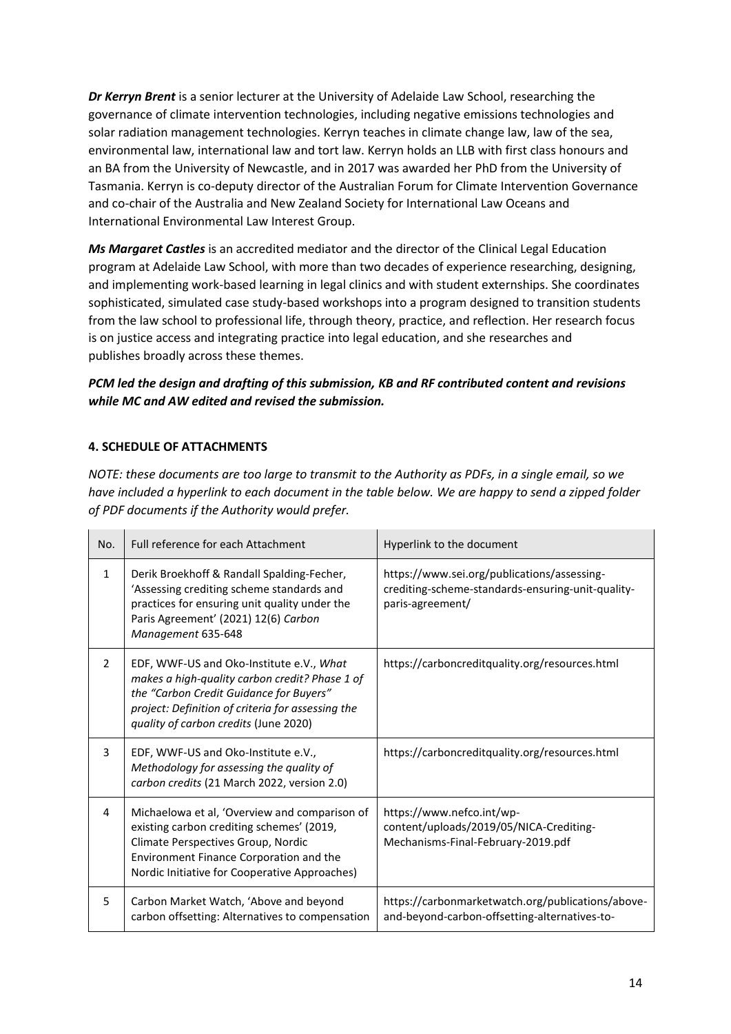*Dr Kerryn Brent* is a senior lecturer at the University of Adelaide Law School, researching the governance of climate intervention technologies, including negative emissions technologies and solar radiation management technologies. Kerryn teaches in climate change law, law of the sea, environmental law, international law and tort law. Kerryn holds an LLB with first class honours and an BA from the University of Newcastle, and in 2017 was awarded her PhD from the University of Tasmania. Kerryn is co-deputy director of the Australian Forum for Climate Intervention Governance and co-chair of the Australia and New Zealand Society for International Law Oceans and International Environmental Law Interest Group.

*Ms Margaret Castles* is an accredited mediator and the director of the Clinical Legal Education program at Adelaide Law School, with more than two decades of experience researching, designing, and implementing work-based learning in legal clinics and with student externships. She coordinates sophisticated, simulated case study-based workshops into a program designed to transition students from the law school to professional life, through theory, practice, and reflection. Her research focus is on justice access and integrating practice into legal education, and she researches and publishes broadly across these themes.

# *PCM led the design and drafting of this submission, KB and RF contributed content and revisions while MC and AW edited and revised the submission.*

# **4. SCHEDULE OF ATTACHMENTS**

*NOTE: these documents are too large to transmit to the Authority as PDFs, in a single email, so we have included a hyperlink to each document in the table below. We are happy to send a zipped folder of PDF documents if the Authority would prefer.*

| No.            | Full reference for each Attachment                                                                                                                                                                                                  | Hyperlink to the document                                                                                            |
|----------------|-------------------------------------------------------------------------------------------------------------------------------------------------------------------------------------------------------------------------------------|----------------------------------------------------------------------------------------------------------------------|
| $\mathbf{1}$   | Derik Broekhoff & Randall Spalding-Fecher,<br>'Assessing crediting scheme standards and<br>practices for ensuring unit quality under the<br>Paris Agreement' (2021) 12(6) Carbon<br>Management 635-648                              | https://www.sei.org/publications/assessing-<br>crediting-scheme-standards-ensuring-unit-quality-<br>paris-agreement/ |
| $\overline{2}$ | EDF, WWF-US and Oko-Institute e.V., What<br>makes a high-quality carbon credit? Phase 1 of<br>the "Carbon Credit Guidance for Buyers"<br>project: Definition of criteria for assessing the<br>quality of carbon credits (June 2020) | https://carboncreditquality.org/resources.html                                                                       |
| 3              | EDF, WWF-US and Oko-Institute e.V.,<br>Methodology for assessing the quality of<br>carbon credits (21 March 2022, version 2.0)                                                                                                      | https://carboncreditquality.org/resources.html                                                                       |
| 4              | Michaelowa et al, 'Overview and comparison of<br>existing carbon crediting schemes' (2019,<br>Climate Perspectives Group, Nordic<br>Environment Finance Corporation and the<br>Nordic Initiative for Cooperative Approaches)        | https://www.nefco.int/wp-<br>content/uploads/2019/05/NICA-Crediting-<br>Mechanisms-Final-February-2019.pdf           |
| 5              | Carbon Market Watch, 'Above and beyond<br>carbon offsetting: Alternatives to compensation                                                                                                                                           | https://carbonmarketwatch.org/publications/above-<br>and-beyond-carbon-offsetting-alternatives-to-                   |